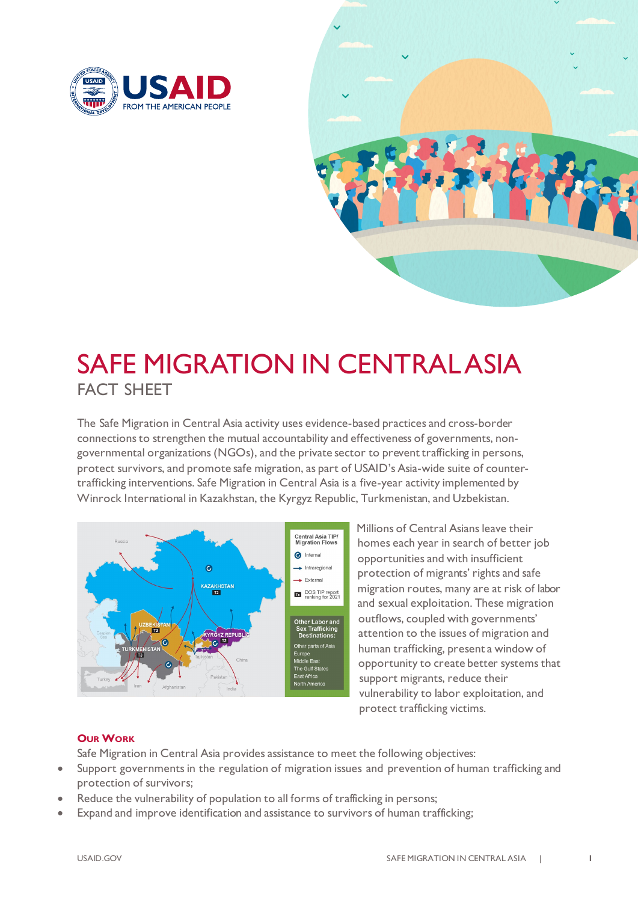



## SAFE MIGRATION IN CENTRAL ASIA FACT SHEET

The Safe Migration in Central Asia activity uses evidence-based practices and cross-border connections to strengthen the mutual accountability and effectiveness of governments, nongovernmental organizations(NGOs), and the private sector to prevent trafficking in persons, protect survivors, and promote safe migration, as part of USAID's Asia-wide suite of countertrafficking interventions. Safe Migration in Central Asia is a five-year activity implemented by Winrock International in Kazakhstan, the Kyrgyz Republic, Turkmenistan, and Uzbekistan.



Millions of Central Asians leave their homes each year in search of better job opportunities and with insufficient protection of migrants' rights and safe migration routes, many are at risk of labor and sexual exploitation. These migration outflows, coupled with governments' attention to the issues of migration and human trafficking, present a window of opportunity to create better systems that support migrants, reduce their vulnerability to labor exploitation, and protect trafficking victims.

## **OUR WORK**

Safe Migration in Central Asia provides assistance to meet the following objectives:

- Support governments in the regulation of migration issues and prevention of human trafficking and protection of survivors;
- Reduce the vulnerability of population to all forms of trafficking in persons;
- Expand and improve identification and assistance to survivors of human trafficking;